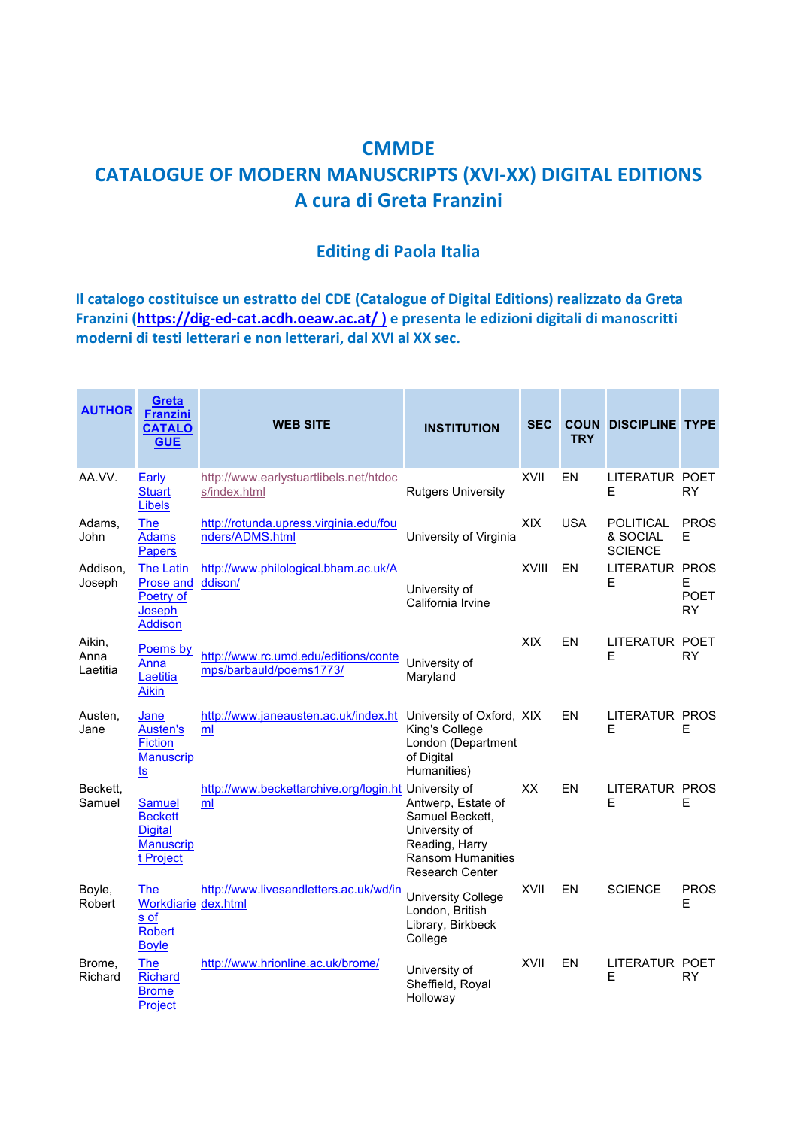## **CMMDE CATALOGUE OF MODERN MANUSCRIPTS (XVI-XX) DIGITAL EDITIONS A cura di Greta Franzini**

## **Editing di Paola Italia**

**Il catalogo costituisce un estratto del CDE (Catalogue of Digital Editions) realizzato da Greta** Franzini (https://dig-ed-cat.acdh.oeaw.ac.at/) e presenta le edizioni digitali di manoscritti **moderni di testi letterari e non letterari, dal XVI al XX sec.** 

| <b>AUTHOR</b>              | Greta<br><b>Franzini</b><br><b>CATALO</b><br><b>GUE</b>                            | <b>WEB SITE</b>                                                      | <b>INSTITUTION</b>                                                                                                      | <b>SEC</b>  | <b>TRY</b> | <b>COUN DISCIPLINE TYPE</b>                    |                                |
|----------------------------|------------------------------------------------------------------------------------|----------------------------------------------------------------------|-------------------------------------------------------------------------------------------------------------------------|-------------|------------|------------------------------------------------|--------------------------------|
| AA.VV.                     | Early<br><b>Stuart</b><br><b>Libels</b>                                            | http://www.earlystuartlibels.net/htdoc<br>s/index.html               | <b>Rutgers University</b>                                                                                               | <b>XVII</b> | EN         | LITERATUR POET<br>Е                            | <b>RY</b>                      |
| Adams,<br>John             | <b>The</b><br><b>Adams</b><br><b>Papers</b>                                        | http://rotunda.upress.virginia.edu/fou<br>nders/ADMS.html            | University of Virginia                                                                                                  | <b>XIX</b>  | <b>USA</b> | <b>POLITICAL</b><br>& SOCIAL<br><b>SCIENCE</b> | <b>PROS</b><br>Е               |
| Addison,<br>Joseph         | <b>The Latin</b><br>Prose and<br>Poetry of<br>Joseph<br><b>Addison</b>             | http://www.philological.bham.ac.uk/A<br>ddison/                      | University of<br>California Irvine                                                                                      | XVIII       | EN         | LITERATUR PROS<br>Е                            | E.<br><b>POET</b><br><b>RY</b> |
| Aikin,<br>Anna<br>Laetitia | Poems by<br>Anna<br>Laetitia<br><b>Aikin</b>                                       | http://www.rc.umd.edu/editions/conte<br>mps/barbauld/poems1773/      | University of<br>Maryland                                                                                               | <b>XIX</b>  | EN         | LITERATUR POET<br>E                            | RY                             |
| Austen,<br>Jane            | Jane<br><b>Austen's</b><br><b>Fiction</b><br><b>Manuscrip</b><br><u>ts</u>         | http://www.janeausten.ac.uk/index.ht University of Oxford, XIX<br>ml | King's College<br>London (Department<br>of Digital<br>Humanities)                                                       |             | EN         | <b>LITERATUR PROS</b><br>Е                     | Е                              |
| Beckett,<br>Samuel         | <b>Samuel</b><br><b>Beckett</b><br><b>Digital</b><br><b>Manuscrip</b><br>t Project | http://www.beckettarchive.org/login.ht University of<br>ml           | Antwerp, Estate of<br>Samuel Beckett.<br>University of<br>Reading, Harry<br><b>Ransom Humanities</b><br>Research Center | XX          | EN         | LITERATUR PROS<br>Е                            | Е                              |
| Boyle,<br>Robert           | The<br>Workdiarie dex.html<br>s of<br><b>Robert</b><br><b>Boyle</b>                | http://www.livesandletters.ac.uk/wd/in                               | <b>University College</b><br>London, British<br>Library, Birkbeck<br>College                                            | <b>XVII</b> | EN         | <b>SCIENCE</b>                                 | <b>PROS</b><br>Е               |
| Brome,<br>Richard          | <b>The</b><br><b>Richard</b><br><b>Brome</b><br>Project                            | http://www.hrionline.ac.uk/brome/                                    | University of<br>Sheffield, Royal<br>Holloway                                                                           | XVII        | EN         | LITERATUR POET<br>E                            | <b>RY</b>                      |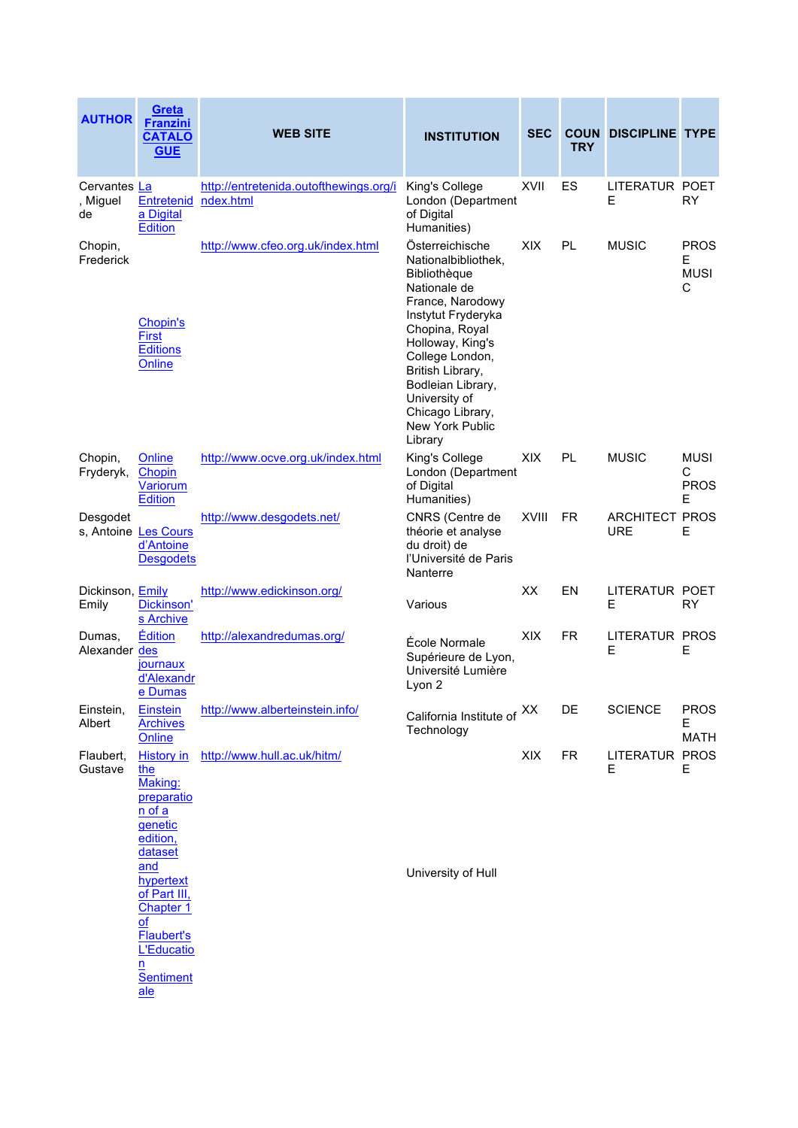| <b>AUTHOR</b>                  | Greta<br><b>Franzini</b><br><b>CATALO</b><br><b>GUE</b>                                                                                                                                                        | <b>WEB SITE</b>                                     | <b>INSTITUTION</b>                                                                                                                                                                                                                                                                    | <b>SEC</b>   | <b>TRY</b> | <b>COUN DISCIPLINE TYPE</b>         |                                      |
|--------------------------------|----------------------------------------------------------------------------------------------------------------------------------------------------------------------------------------------------------------|-----------------------------------------------------|---------------------------------------------------------------------------------------------------------------------------------------------------------------------------------------------------------------------------------------------------------------------------------------|--------------|------------|-------------------------------------|--------------------------------------|
| Cervantes La<br>, Miguel<br>de | Entretenid<br>a Digital<br>Edition                                                                                                                                                                             | http://entretenida.outofthewings.org/i<br>ndex.html | King's College<br>London (Department<br>of Digital<br>Humanities)                                                                                                                                                                                                                     | <b>XVII</b>  | ES         | LITERATUR POET<br>Е                 | <b>RY</b>                            |
| Chopin,<br>Frederick           | Chopin's<br><b>First</b><br><b>Editions</b><br>Online                                                                                                                                                          | http://www.cfeo.org.uk/index.html                   | Österreichische<br>Nationalbibliothek,<br>Bibliothèque<br>Nationale de<br>France, Narodowy<br>Instytut Fryderyka<br>Chopina, Royal<br>Holloway, King's<br>College London,<br>British Library,<br>Bodleian Library,<br>University of<br>Chicago Library,<br>New York Public<br>Library | <b>XIX</b>   | PL         | <b>MUSIC</b>                        | <b>PROS</b><br>Е<br><b>MUSI</b><br>C |
| Chopin,<br>Fryderyk,           | Online<br>Chopin<br>Variorum<br>Edition                                                                                                                                                                        | http://www.ocve.org.uk/index.html                   | King's College<br>London (Department<br>of Digital<br>Humanities)                                                                                                                                                                                                                     | <b>XIX</b>   | PL         | <b>MUSIC</b>                        | <b>MUSI</b><br>С<br><b>PROS</b><br>Е |
| Desgodet                       | s, Antoine Les Cours<br>d'Antoine<br><b>Desgodets</b>                                                                                                                                                          | http://www.desgodets.net/                           | CNRS (Centre de<br>théorie et analyse<br>du droit) de<br>l'Université de Paris<br>Nanterre                                                                                                                                                                                            | <b>XVIII</b> | FR.        | <b>ARCHITECT PROS</b><br><b>URE</b> | Е                                    |
| Dickinson, Emily<br>Emily      | Dickinson'<br>s Archive                                                                                                                                                                                        | http://www.edickinson.org/                          | Various                                                                                                                                                                                                                                                                               | XX           | EN         | LITERATUR POET<br>E                 | <b>RY</b>                            |
| Dumas,<br>Alexander des        | Édition<br>journaux<br>d'Alexandr<br>e Dumas                                                                                                                                                                   | http://alexandredumas.org/                          | École Normale<br>Supérieure de Lyon,<br>Université Lumière<br>Lyon 2                                                                                                                                                                                                                  | XIX          | FR.        | LITERATUR PROS<br>E                 | Е                                    |
| Einstein,<br>Albert            | <b>Einstein</b><br><b>Archives</b><br>Online                                                                                                                                                                   | http://www.alberteinstein.info/                     | California Institute of XX<br>Technology                                                                                                                                                                                                                                              |              | DE         | <b>SCIENCE</b>                      | <b>PROS</b><br>Е<br><b>MATH</b>      |
| Flaubert,<br>Gustave           | <b>History</b> in<br>the<br>Making:<br>preparatio<br>$n$ of $a$<br>genetic<br>edition,<br>dataset<br>and<br>hypertext<br>of Part III,<br><b>Chapter 1</b><br>of<br><b>Flaubert's</b><br><b>L'Educatio</b><br>n | http://www.hull.ac.uk/hitm/                         | University of Hull                                                                                                                                                                                                                                                                    | XIX          | <b>FR</b>  | LITERATUR PROS<br>Е                 | Е                                    |
|                                | <b>Sentiment</b><br>ale                                                                                                                                                                                        |                                                     |                                                                                                                                                                                                                                                                                       |              |            |                                     |                                      |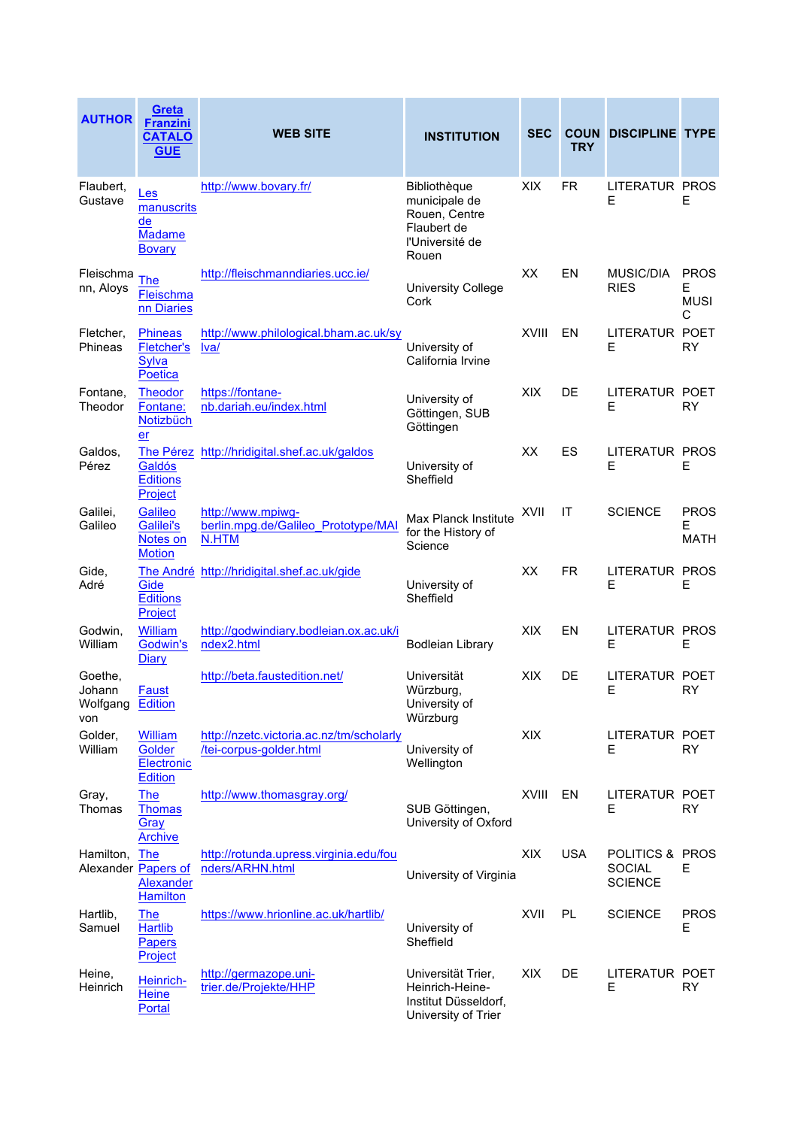| <b>AUTHOR</b>                        | Greta<br><b>Franzini</b><br><b>CATALO</b><br><b>GUE</b>                  | <b>WEB SITE</b>                                                     | <b>INSTITUTION</b>                                                                        | <b>SEC</b>   | <b>TRY</b> | <b>COUN DISCIPLINE TYPE</b>                        |                                      |
|--------------------------------------|--------------------------------------------------------------------------|---------------------------------------------------------------------|-------------------------------------------------------------------------------------------|--------------|------------|----------------------------------------------------|--------------------------------------|
| Flaubert,<br>Gustave                 | Les<br>manuscrits<br>de<br><b>Madame</b><br><b>Bovary</b>                | http://www.bovary.fr/                                               | Bibliothèque<br>municipale de<br>Rouen, Centre<br>Flaubert de<br>l'Université de<br>Rouen | <b>XIX</b>   | <b>FR</b>  | <b>LITERATUR PROS</b><br>E                         | Е                                    |
| Fleischma<br>nn, Aloys               | The<br>Fleischma<br>nn Diaries                                           | http://fleischmanndiaries.ucc.ie/                                   | <b>University College</b><br>Cork                                                         | XХ           | EN         | <b>MUSIC/DIA</b><br><b>RIES</b>                    | <b>PROS</b><br>Е<br><b>MUSI</b><br>C |
| Fletcher,<br>Phineas                 | <b>Phineas</b><br><b>Fletcher's</b><br>Sylva<br>Poetica                  | http://www.philological.bham.ac.uk/sy<br>lval                       | University of<br>California Irvine                                                        | <b>XVIII</b> | ΕN         | LITERATUR POET<br>Е                                | <b>RY</b>                            |
| Fontane,<br>Theodor                  | <b>Theodor</b><br>Fontane:<br>Notizbüch<br>er                            | https://fontane-<br>nb.dariah.eu/index.html                         | University of<br>Göttingen, SUB<br>Göttingen                                              | <b>XIX</b>   | DE         | <b>LITERATUR POET</b><br>Е                         | RY                                   |
| Galdos,<br>Pérez                     | Galdós<br><b>Editions</b><br>Project                                     | The Pérez http://hridigital.shef.ac.uk/galdos                       | University of<br>Sheffield                                                                | XX           | ES         | LITERATUR PROS<br>E                                | Е                                    |
| Galilei,<br>Galileo                  | Galileo<br>Galilei's<br>Notes on<br><b>Motion</b>                        | http://www.mpiwg-<br>berlin.mpg.de/Galileo Prototype/MAI<br>N.HTM   | Max Planck Institute<br>for the History of<br>Science                                     | XVII         | IT         | <b>SCIENCE</b>                                     | <b>PROS</b><br>E<br><b>MATH</b>      |
| Gide,<br>Adré                        | Gide<br><b>Editions</b><br>Project                                       | The André http://hridigital.shef.ac.uk/gide                         | University of<br>Sheffield                                                                | XX           | <b>FR</b>  | <b>LITERATUR PROS</b><br>E                         | E                                    |
| Godwin,<br>William                   | <b>William</b><br>Godwin's<br>Diary                                      | http://godwindiary.bodleian.ox.ac.uk/i<br>ndex2.html                | <b>Bodleian Library</b>                                                                   | XIX          | EN         | LITERATUR PROS<br>E                                | Е                                    |
| Goethe,<br>Johann<br>Wolfgang<br>von | Faust<br><b>Edition</b>                                                  | http://beta.faustedition.net/                                       | Universität<br>Würzburg,<br>University of<br>Würzburg                                     | <b>XIX</b>   | DE         | LITERATUR POET<br>Е                                | RY                                   |
| Golder,<br>William                   | <b>William</b><br>Golder<br>Electronic<br>Edition                        | http://nzetc.victoria.ac.nz/tm/scholarly<br>/tei-corpus-golder.html | University of<br>Wellington                                                               | <b>XIX</b>   |            | LITERATUR POET<br>Е                                | RY                                   |
| Gray,<br>Thomas                      | <b>The</b><br><b>Thomas</b><br><u>Gray</u><br><b>Archive</b>             | http://www.thomasgray.org/                                          | SUB Göttingen,<br>University of Oxford                                                    | XVIII        | EN         | LITERATUR POET<br>Е                                | <b>RY</b>                            |
| Hamilton,                            | <b>The</b><br>Alexander Papers of<br><b>Alexander</b><br><b>Hamilton</b> | http://rotunda.upress.virginia.edu/fou<br>nders/ARHN.html           | University of Virginia                                                                    | XIX          | <b>USA</b> | POLITICS & PROS<br><b>SOCIAL</b><br><b>SCIENCE</b> | Е                                    |
| Hartlib,<br>Samuel                   | <b>The</b><br><b>Hartlib</b><br><b>Papers</b><br>Project                 | https://www.hrionline.ac.uk/hartlib/                                | University of<br>Sheffield                                                                | XVII         | <b>PL</b>  | <b>SCIENCE</b>                                     | <b>PROS</b><br>Е                     |
| Heine,<br>Heinrich                   | Heinrich-<br><b>Heine</b><br>Portal                                      | http://germazope.uni-<br>trier.de/Projekte/HHP                      | Universität Trier,<br>Heinrich-Heine-<br>Institut Düsseldorf,<br>University of Trier      | XIX          | DE.        | LITERATUR POET<br>Е                                | RY                                   |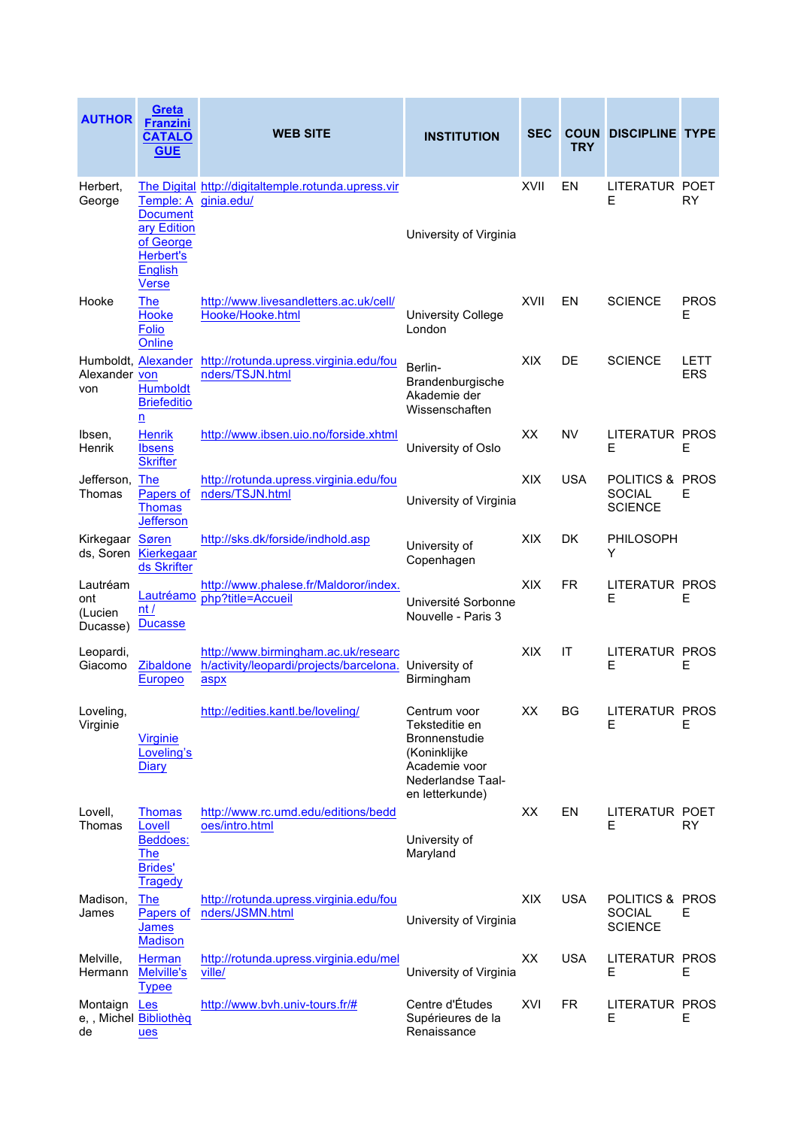| <b>AUTHOR</b>                                | Greta<br><b>Franzini</b><br><b>CATALO</b><br><b>GUE</b>                                | <b>WEB SITE</b>                                                                                      | <b>INSTITUTION</b>                                                                                                              | <b>SEC</b> | <b>TRY</b> | <b>COUN DISCIPLINE TYPE</b>                        |                    |
|----------------------------------------------|----------------------------------------------------------------------------------------|------------------------------------------------------------------------------------------------------|---------------------------------------------------------------------------------------------------------------------------------|------------|------------|----------------------------------------------------|--------------------|
| Herbert,<br>George                           | Temple: A<br><b>Document</b><br>ary Edition<br>of George<br><b>Herbert's</b>           | The Digital http://digitaltemple.rotunda.upress.vir<br>ginia.edu/                                    | University of Virginia                                                                                                          | XVII       | ΕN         | LITERATUR POET<br>Е                                | <b>RY</b>          |
| Hooke                                        | <b>English</b><br><u>Verse</u><br><b>The</b><br><b>Hooke</b><br><b>Folio</b><br>Online | http://www.livesandletters.ac.uk/cell/<br>Hooke/Hooke.html                                           | <b>University College</b><br>London                                                                                             | XVII       | EN         | <b>SCIENCE</b>                                     | <b>PROS</b><br>Е   |
| Alexander von<br>von                         | <b>Humboldt</b><br><b>Briefeditio</b><br>n                                             | Humboldt, Alexander http://rotunda.upress.virginia.edu/fou<br>nders/TSJN.html                        | Berlin-<br>Brandenburgische<br>Akademie der<br>Wissenschaften                                                                   | <b>XIX</b> | DE         | <b>SCIENCE</b>                                     | LETT<br><b>ERS</b> |
| Ibsen,<br><b>Henrik</b>                      | <b>Henrik</b><br><b>Ibsens</b><br><b>Skrifter</b>                                      | http://www.ibsen.uio.no/forside.xhtml                                                                | University of Oslo                                                                                                              | XX         | <b>NV</b>  | <b>LITERATUR PROS</b><br>Е                         | Е                  |
| Jefferson, The<br>Thomas                     | <b>Papers of</b><br><b>Thomas</b><br><b>Jefferson</b>                                  | http://rotunda.upress.virginia.edu/fou<br>nders/TSJN.html                                            | University of Virginia                                                                                                          | <b>XIX</b> | <b>USA</b> | POLITICS & PROS<br><b>SOCIAL</b><br><b>SCIENCE</b> | Е                  |
| Kirkegaar Søren                              | ds, Soren Kierkegaar<br>ds Skrifter                                                    | http://sks.dk/forside/indhold.asp                                                                    | University of<br>Copenhagen                                                                                                     | <b>XIX</b> | DK.        | PHILOSOPH<br>Y                                     |                    |
| Lautréam<br>ont<br>(Lucien<br>Ducasse)       | Lautréamo<br>nt/<br><b>Ducasse</b>                                                     | http://www.phalese.fr/Maldoror/index.<br>php?title=Accueil                                           | Université Sorbonne<br>Nouvelle - Paris 3                                                                                       | <b>XIX</b> | <b>FR</b>  | LITERATUR PROS<br>Е                                | Е                  |
| Leopardi,<br>Giacomo                         | Zibaldone<br>Europeo                                                                   | http://www.birmingham.ac.uk/researc<br>h/activity/leopardi/projects/barcelona. University of<br>aspx | Birmingham                                                                                                                      | <b>XIX</b> | IT         | LITERATUR PROS<br>E                                | Е                  |
| Loveling,<br>Virginie                        | <b>Virginie</b><br>Loveling's<br>Diary                                                 | http://edities.kantl.be/loveling/                                                                    | Centrum voor<br>Teksteditie en<br><b>Bronnenstudie</b><br>(Koninklijke<br>Academie voor<br>Nederlandse Taal-<br>en letterkunde) | XX         | BG         | LITERATUR PROS<br>Е                                | Е                  |
| Lovell,<br>Thomas                            | <b>Thomas</b><br>Lovell<br><b>Beddoes:</b><br>The<br><b>Brides'</b><br><b>Tragedy</b>  | http://www.rc.umd.edu/editions/bedd<br>oes/intro.html                                                | University of<br>Maryland                                                                                                       | XX         | EN         | LITERATUR POET<br>Е                                | <b>RY</b>          |
| Madison,<br>James                            | <b>The</b><br>Papers of<br><u>James</u><br><b>Madison</b>                              | http://rotunda.upress.virginia.edu/fou<br>nders/JSMN.html                                            | University of Virginia                                                                                                          | XIX        | <b>USA</b> | POLITICS & PROS<br><b>SOCIAL</b><br><b>SCIENCE</b> | Е                  |
| Melville,<br>Hermann                         | Herman<br><b>Melville's</b><br><b>Typee</b>                                            | http://rotunda.upress.virginia.edu/mel<br>ville/                                                     | University of Virginia                                                                                                          | XX         | <b>USA</b> | LITERATUR PROS<br>Е                                | Е                  |
| Montaign Les<br>e, , Michel Bibliothèq<br>de | ues                                                                                    | http://www.bvh.univ-tours.fr/#                                                                       | Centre d'Études<br>Supérieures de la<br>Renaissance                                                                             | XVI        | <b>FR</b>  | LITERATUR PROS<br>Е                                | Е                  |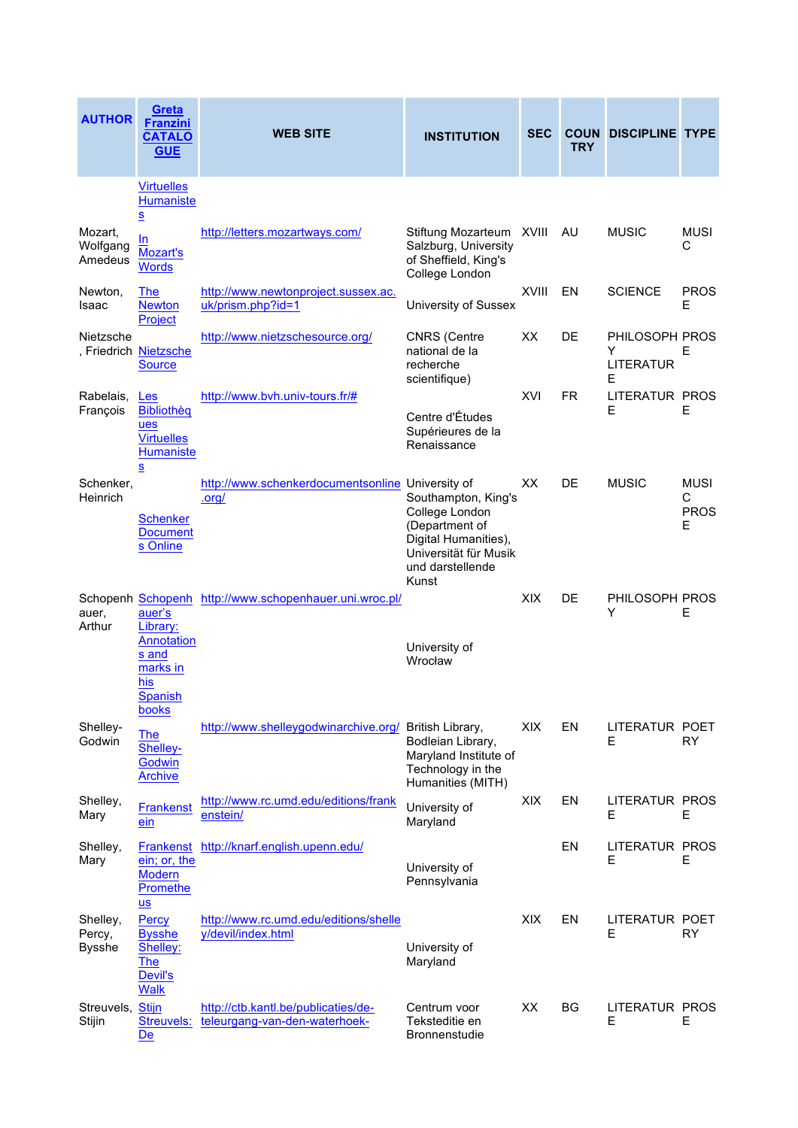| <b>AUTHOR</b>                       | Greta<br><b>Franzini</b><br><b>CATALO</b><br><b>GUE</b>                                                   | <b>WEB SITE</b>                                                      | <b>INSTITUTION</b>                                                                                                                    | <b>SEC</b>   | <b>TRY</b> | <b>COUN DISCIPLINE TYPE</b>                  |                                      |
|-------------------------------------|-----------------------------------------------------------------------------------------------------------|----------------------------------------------------------------------|---------------------------------------------------------------------------------------------------------------------------------------|--------------|------------|----------------------------------------------|--------------------------------------|
|                                     | <b>Virtuelles</b><br>Humaniste<br>$\underline{\underline{s}}$                                             |                                                                      |                                                                                                                                       |              |            |                                              |                                      |
| Mozart,<br>Wolfgang<br>Amedeus      | In<br><b>Mozart's</b><br><b>Words</b>                                                                     | http://letters.mozartways.com/                                       | Stiftung Mozarteum XVIII<br>Salzburg, University<br>of Sheffield, King's<br>College London                                            |              | AU         | <b>MUSIC</b>                                 | <b>MUSI</b><br>С                     |
| Newton,<br>Isaac                    | <b>The</b><br><b>Newton</b><br>Project                                                                    | http://www.newtonproject.sussex.ac.<br>uk/prism.php?id=1             | University of Sussex                                                                                                                  | <b>XVIII</b> | EN         | <b>SCIENCE</b>                               | <b>PROS</b><br>Е                     |
| Nietzsche                           | , Friedrich Nietzsche<br><b>Source</b>                                                                    | http://www.nietzschesource.org/                                      | <b>CNRS (Centre</b><br>national de la<br>recherche<br>scientifique)                                                                   | XX           | DE.        | PHILOSOPH PROS<br>Y<br><b>LITERATUR</b><br>Е | Е                                    |
| Rabelais,<br>François               | Les<br>Bibliothèg<br>ues<br><b>Virtuelles</b><br><b>Humaniste</b><br>$\underline{\underline{\mathbf{s}}}$ | http://www.bvh.univ-tours.fr/#                                       | Centre d'Études<br>Supérieures de la<br>Renaissance                                                                                   | XVI          | FR         | LITERATUR PROS<br>Е                          | Е                                    |
| Schenker.<br>Heinrich               | <b>Schenker</b><br><b>Document</b><br>s Online                                                            | http://www.schenkerdocumentsonline University of<br><u>.org/</u>     | Southampton, King's<br>College London<br>(Department of<br>Digital Humanities),<br>Universität für Musik<br>und darstellende<br>Kunst | XХ           | DE         | <b>MUSIC</b>                                 | <b>MUSI</b><br>C<br><b>PROS</b><br>Е |
| auer,<br>Arthur                     | auer's<br>Library:<br>Annotation<br>s and<br>marks in<br>his<br><b>Spanish</b><br>books                   | Schopenh Schopenh http://www.schopenhauer.uni.wroc.pl/               | University of<br>Wrocław                                                                                                              | <b>XIX</b>   | DE         | PHILOSOPH PROS<br>Y                          | Е                                    |
| Shelley-<br>Godwin                  | <b>The</b><br>Shelley-<br>Godwin<br><b>Archive</b>                                                        | http://www.shelleygodwinarchive.org/ British Library,                | Bodleian Library,<br>Maryland Institute of<br>Technology in the<br>Humanities (MITH)                                                  | XIX          | EN         | LITERATUR POET<br>Е                          | RY.                                  |
| Shelley,<br>Mary                    | <b>Frankenst</b><br>ein                                                                                   | http://www.rc.umd.edu/editions/frank<br>enstein/                     | University of<br>Maryland                                                                                                             | <b>XIX</b>   | EN         | LITERATUR PROS<br>Е                          | Е                                    |
| Shelley,<br>Mary                    | ein; or, the<br><b>Modern</b><br><b>Promethe</b>                                                          | Frankenst http://knarf.english.upenn.edu/                            | University of<br>Pennsylvania                                                                                                         |              | EN         | <b>LITERATUR PROS</b><br>Е                   | Е                                    |
| Shelley,<br>Percy,<br><b>Bysshe</b> | $us$<br>Percy<br><b>Bysshe</b><br>Shelley:<br><b>The</b><br>Devil's<br><b>Walk</b>                        | http://www.rc.umd.edu/editions/shelle<br>y/devil/index.html          | University of<br>Maryland                                                                                                             | XIX          | EN         | LITERATUR POET<br>E                          | <b>RY</b>                            |
| Streuvels, Stijn<br>Stijin          | Streuvels:<br>$De$                                                                                        | http://ctb.kantl.be/publicaties/de-<br>teleurgang-van-den-waterhoek- | Centrum voor<br>Teksteditie en<br><b>Bronnenstudie</b>                                                                                | XX           | ΒG         | LITERATUR PROS<br>Е                          | Е                                    |